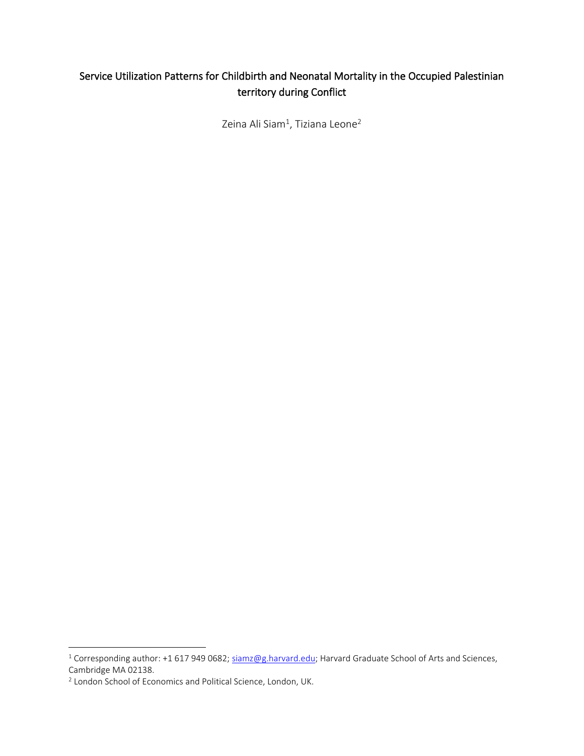# Service Utilization Patterns for Childbirth and Neonatal Mortality in the Occupied Palestinian territory during Conflict

Zeina Ali Siam $^1$ , Tiziana Leone $^2$ 

<sup>&</sup>lt;sup>1</sup> Corresponding author: +1 617 949 0682; [siamz@g.harvard.edu;](mailto:siamz@g.harvard.edu) Harvard Graduate School of Arts and Sciences, Cambridge MA 02138.

<sup>&</sup>lt;sup>2</sup> London School of Economics and Political Science, London, UK.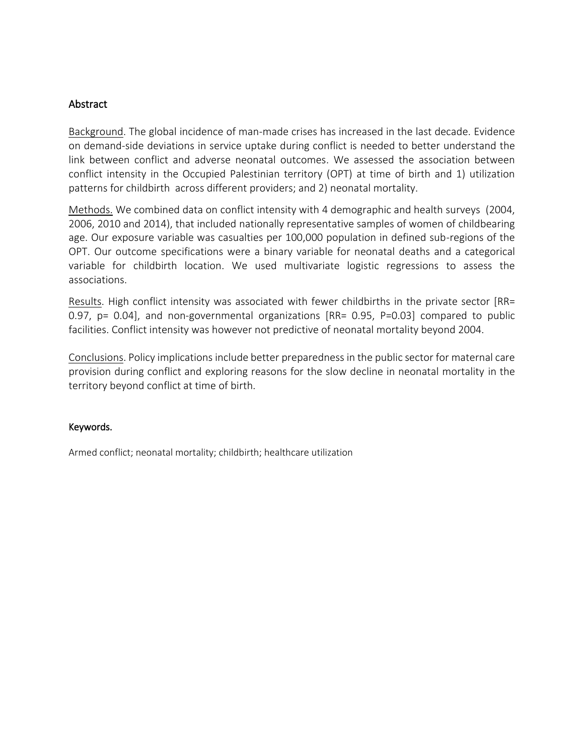## Abstract

Background. The global incidence of man-made crises has increased in the last decade. Evidence on demand-side deviations in service uptake during conflict is needed to better understand the link between conflict and adverse neonatal outcomes. We assessed the association between conflict intensity in the Occupied Palestinian territory (OPT) at time of birth and 1) utilization patterns for childbirth across different providers; and 2) neonatal mortality.

Methods. We combined data on conflict intensity with 4 demographic and health surveys (2004, 2006, 2010 and 2014), that included nationally representative samples of women of childbearing age. Our exposure variable was casualties per 100,000 population in defined sub-regions of the OPT. Our outcome specifications were a binary variable for neonatal deaths and a categorical variable for childbirth location. We used multivariate logistic regressions to assess the associations.

Results. High conflict intensity was associated with fewer childbirths in the private sector [RR= 0.97, p= 0.04], and non-governmental organizations [RR= 0.95, P=0.03] compared to public facilities. Conflict intensity was however not predictive of neonatal mortality beyond 2004.

Conclusions. Policy implications include better preparedness in the public sector for maternal care provision during conflict and exploring reasons for the slow decline in neonatal mortality in the territory beyond conflict at time of birth.

## Keywords.

Armed conflict; neonatal mortality; childbirth; healthcare utilization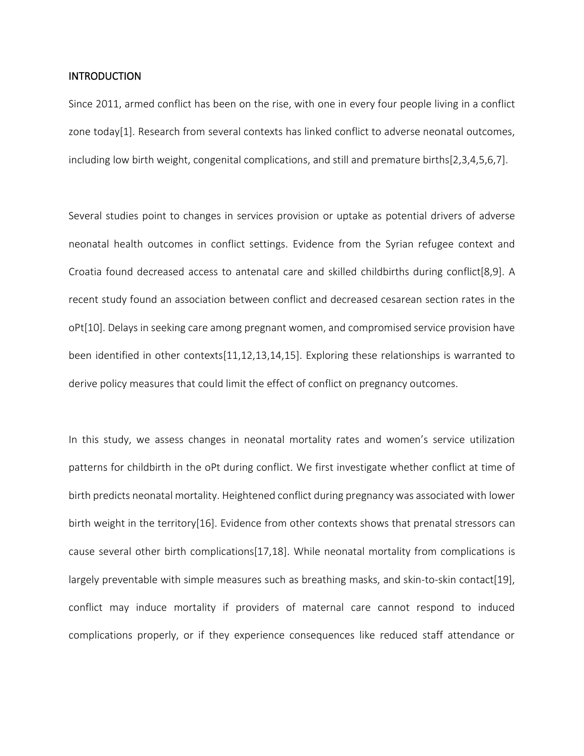#### **INTRODUCTION**

Since 2011, armed conflict has been on the rise, with one in every four people living in a conflict zone today[1]. Research from several contexts has linked conflict to adverse neonatal outcomes, including low birth weight, congenital complications, and still and premature births[2,3,4,5,6,7].

Several studies point to changes in services provision or uptake as potential drivers of adverse neonatal health outcomes in conflict settings. Evidence from the Syrian refugee context and Croatia found decreased access to antenatal care and skilled childbirths during conflict[8,9]. A recent study found an association between conflict and decreased cesarean section rates in the oPt[10]. Delays in seeking care among pregnant women, and compromised service provision have been identified in other contexts[11,12,13,14,15]. Exploring these relationships is warranted to derive policy measures that could limit the effect of conflict on pregnancy outcomes.

In this study, we assess changes in neonatal mortality rates and women's service utilization patterns for childbirth in the oPt during conflict. We first investigate whether conflict at time of birth predicts neonatal mortality. Heightened conflict during pregnancy was associated with lower birth weight in the territory[16]. Evidence from other contexts shows that prenatal stressors can cause several other birth complications[17,18]. While neonatal mortality from complications is largely preventable with simple measures such as breathing masks, and skin-to-skin contact[19], conflict may induce mortality if providers of maternal care cannot respond to induced complications properly, or if they experience consequences like reduced staff attendance or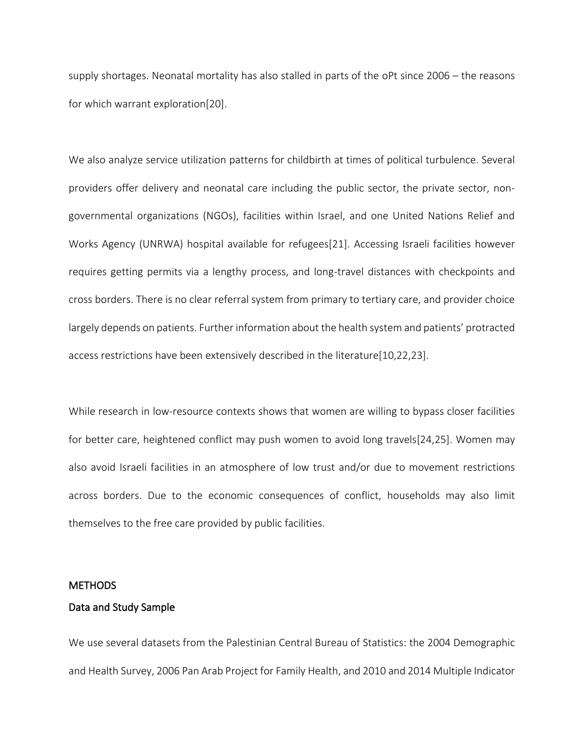supply shortages. Neonatal mortality has also stalled in parts of the oPt since 2006 – the reasons for which warrant exploration[20].

We also analyze service utilization patterns for childbirth at times of political turbulence. Several providers offer delivery and neonatal care including the public sector, the private sector, nongovernmental organizations (NGOs), facilities within Israel, and one United Nations Relief and Works Agency (UNRWA) hospital available for refugees[21]. Accessing Israeli facilities however requires getting permits via a lengthy process, and long-travel distances with checkpoints and cross borders. There is no clear referral system from primary to tertiary care, and provider choice largely depends on patients. Further information about the health system and patients' protracted access restrictions have been extensively described in the literature[10,22,23].

While research in low-resource contexts shows that women are willing to bypass closer facilities for better care, heightened conflict may push women to avoid long travels[24,25]. Women may also avoid Israeli facilities in an atmosphere of low trust and/or due to movement restrictions across borders. Due to the economic consequences of conflict, households may also limit themselves to the free care provided by public facilities.

#### METHODS

#### Data and Study Sample

We use several datasets from the Palestinian Central Bureau of Statistics: the 2004 Demographic and Health Survey, 2006 Pan Arab Project for Family Health, and 2010 and 2014 Multiple Indicator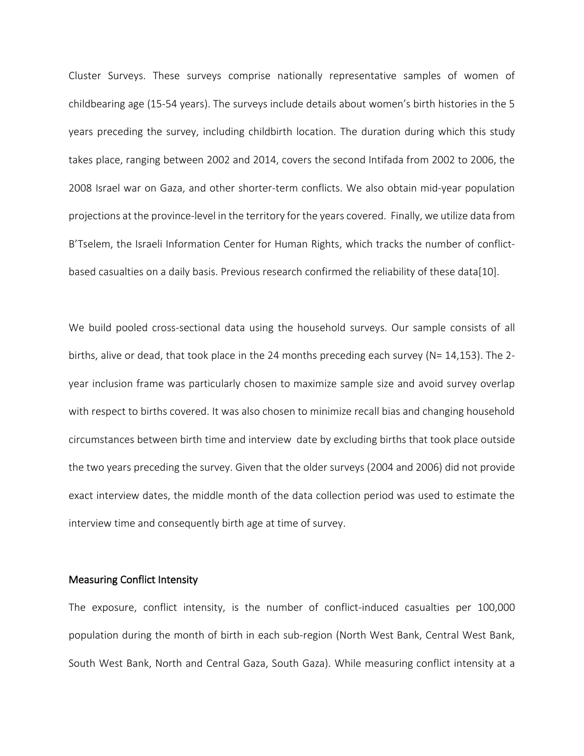Cluster Surveys. These surveys comprise nationally representative samples of women of childbearing age (15-54 years). The surveys include details about women's birth histories in the 5 years preceding the survey, including childbirth location. The duration during which this study takes place, ranging between 2002 and 2014, covers the second Intifada from 2002 to 2006, the 2008 Israel war on Gaza, and other shorter-term conflicts. We also obtain mid-year population projections at the province-level in the territory for the years covered. Finally, we utilize data from B'Tselem, the Israeli Information Center for Human Rights, which tracks the number of conflictbased casualties on a daily basis. Previous research confirmed the reliability of these data[10].

We build pooled cross-sectional data using the household surveys. Our sample consists of all births, alive or dead, that took place in the 24 months preceding each survey (N= 14,153). The 2 year inclusion frame was particularly chosen to maximize sample size and avoid survey overlap with respect to births covered. It was also chosen to minimize recall bias and changing household circumstances between birth time and interview date by excluding births that took place outside the two years preceding the survey. Given that the older surveys (2004 and 2006) did not provide exact interview dates, the middle month of the data collection period was used to estimate the interview time and consequently birth age at time of survey.

#### Measuring Conflict Intensity

The exposure, conflict intensity, is the number of conflict-induced casualties per 100,000 population during the month of birth in each sub-region (North West Bank, Central West Bank, South West Bank, North and Central Gaza, South Gaza). While measuring conflict intensity at a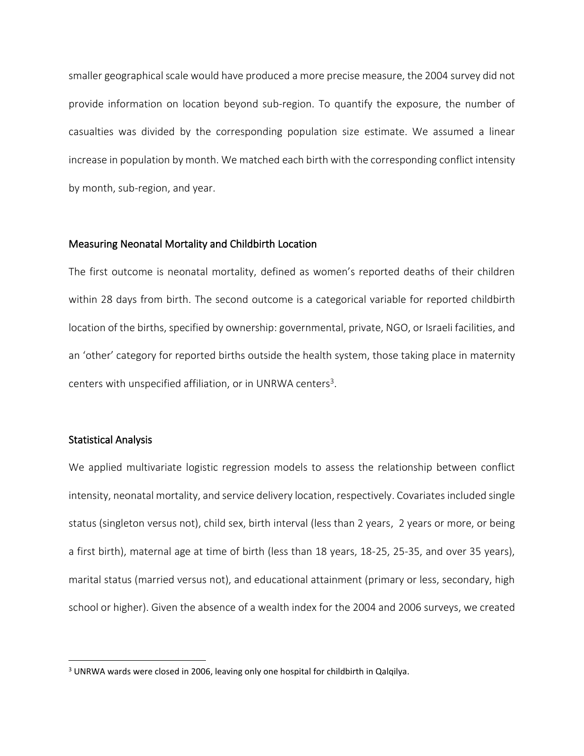smaller geographical scale would have produced a more precise measure, the 2004 survey did not provide information on location beyond sub-region. To quantify the exposure, the number of casualties was divided by the corresponding population size estimate. We assumed a linear increase in population by month. We matched each birth with the corresponding conflict intensity by month, sub-region, and year.

#### Measuring Neonatal Mortality and Childbirth Location

The first outcome is neonatal mortality, defined as women's reported deaths of their children within 28 days from birth. The second outcome is a categorical variable for reported childbirth location of the births, specified by ownership: governmental, private, NGO, or Israeli facilities, and an 'other' category for reported births outside the health system, those taking place in maternity centers with unspecified affiliation, or in UNRWA centers<sup>3</sup>.

#### Statistical Analysis

We applied multivariate logistic regression models to assess the relationship between conflict intensity, neonatal mortality, and service delivery location, respectively. Covariates included single status (singleton versus not), child sex, birth interval (less than 2 years, 2 years or more, or being a first birth), maternal age at time of birth (less than 18 years, 18-25, 25-35, and over 35 years), marital status (married versus not), and educational attainment (primary or less, secondary, high school or higher). Given the absence of a wealth index for the 2004 and 2006 surveys, we created

<sup>&</sup>lt;sup>3</sup> UNRWA wards were closed in 2006, leaving only one hospital for childbirth in Qalqilya.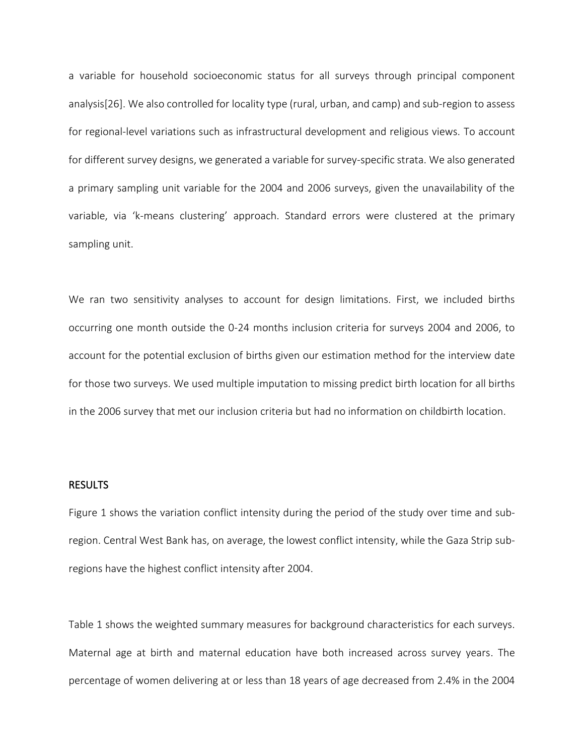a variable for household socioeconomic status for all surveys through principal component analysis[26]. We also controlled for locality type (rural, urban, and camp) and sub-region to assess for regional-level variations such as infrastructural development and religious views. To account for different survey designs, we generated a variable for survey-specific strata. We also generated a primary sampling unit variable for the 2004 and 2006 surveys, given the unavailability of the variable, via 'k-means clustering' approach. Standard errors were clustered at the primary sampling unit.

We ran two sensitivity analyses to account for design limitations. First, we included births occurring one month outside the 0-24 months inclusion criteria for surveys 2004 and 2006, to account for the potential exclusion of births given our estimation method for the interview date for those two surveys. We used multiple imputation to missing predict birth location for all births in the 2006 survey that met our inclusion criteria but had no information on childbirth location.

#### RESULTS

Figure 1 shows the variation conflict intensity during the period of the study over time and subregion. Central West Bank has, on average, the lowest conflict intensity, while the Gaza Strip subregions have the highest conflict intensity after 2004.

Table 1 shows the weighted summary measures for background characteristics for each surveys. Maternal age at birth and maternal education have both increased across survey years. The percentage of women delivering at or less than 18 years of age decreased from 2.4% in the 2004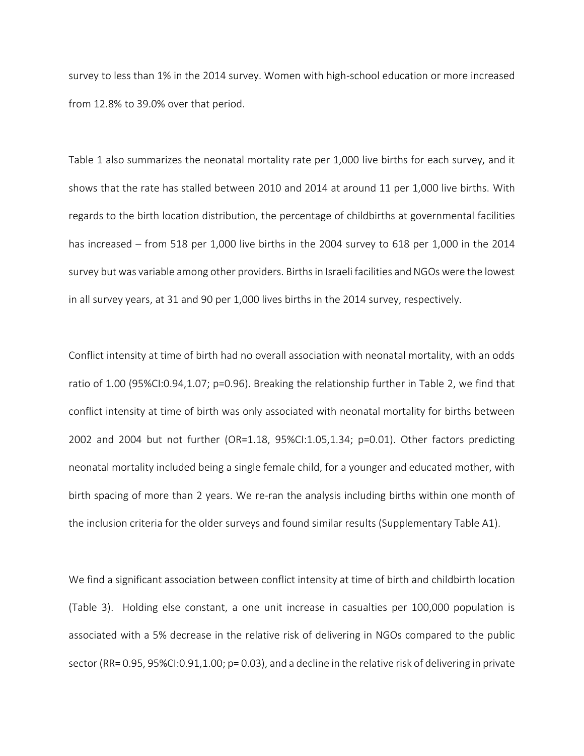survey to less than 1% in the 2014 survey. Women with high-school education or more increased from 12.8% to 39.0% over that period.

Table 1 also summarizes the neonatal mortality rate per 1,000 live births for each survey, and it shows that the rate has stalled between 2010 and 2014 at around 11 per 1,000 live births. With regards to the birth location distribution, the percentage of childbirths at governmental facilities has increased – from 518 per 1,000 live births in the 2004 survey to 618 per 1,000 in the 2014 survey but was variable among other providers. Birthsin Israeli facilities and NGOs were the lowest in all survey years, at 31 and 90 per 1,000 lives births in the 2014 survey, respectively.

Conflict intensity at time of birth had no overall association with neonatal mortality, with an odds ratio of 1.00 (95%CI:0.94,1.07; p=0.96). Breaking the relationship further in Table 2, we find that conflict intensity at time of birth was only associated with neonatal mortality for births between 2002 and 2004 but not further (OR=1.18, 95%CI:1.05,1.34; p=0.01). Other factors predicting neonatal mortality included being a single female child, for a younger and educated mother, with birth spacing of more than 2 years. We re-ran the analysis including births within one month of the inclusion criteria for the older surveys and found similar results (Supplementary Table A1).

We find a significant association between conflict intensity at time of birth and childbirth location (Table 3). Holding else constant, a one unit increase in casualties per 100,000 population is associated with a 5% decrease in the relative risk of delivering in NGOs compared to the public sector (RR= 0.95, 95%CI:0.91,1.00; p= 0.03), and a decline in the relative risk of delivering in private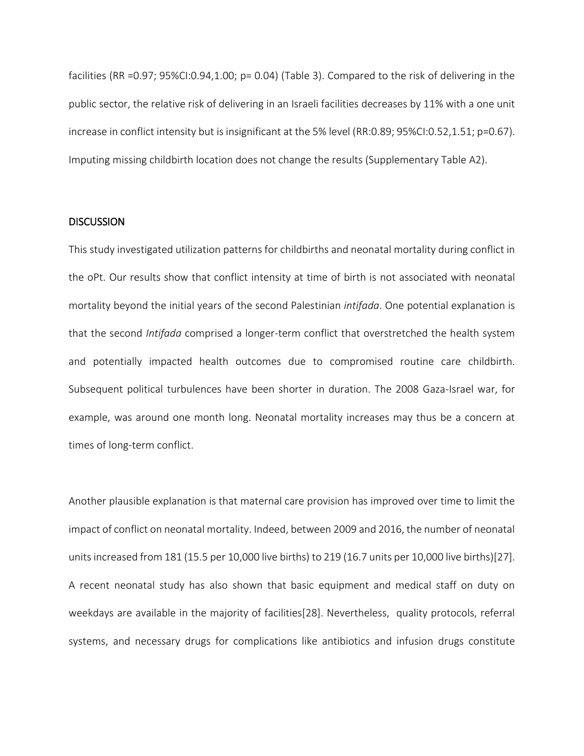facilities (RR =0.97; 95%CI:0.94,1.00; p= 0.04) (Table 3). Compared to the risk of delivering in the public sector, the relative risk of delivering in an Israeli facilities decreases by 11% with a one unit increase in conflict intensity but is insignificant at the 5% level (RR:0.89; 95%CI:0.52,1.51; p=0.67). Imputing missing childbirth location does not change the results (Supplementary Table A2).

## **DISCUSSION**

This study investigated utilization patterns for childbirths and neonatal mortality during conflict in the oPt. Our results show that conflict intensity at time of birth is not associated with neonatal mortality beyond the initial years of the second Palestinian *intifada*. One potential explanation is that the second *Intifada* comprised a longer-term conflict that overstretched the health system and potentially impacted health outcomes due to compromised routine care childbirth. Subsequent political turbulences have been shorter in duration. The 2008 Gaza-Israel war, for example, was around one month long. Neonatal mortality increases may thus be a concern at times of long-term conflict.

Another plausible explanation is that maternal care provision has improved over time to limit the impact of conflict on neonatal mortality. Indeed, between 2009 and 2016, the number of neonatal units increased from 181 (15.5 per 10,000 live births) to 219 (16.7 units per 10,000 live births)[27]. A recent neonatal study has also shown that basic equipment and medical staff on duty on weekdays are available in the majority of facilities[28]. Nevertheless, quality protocols, referral systems, and necessary drugs for complications like antibiotics and infusion drugs constitute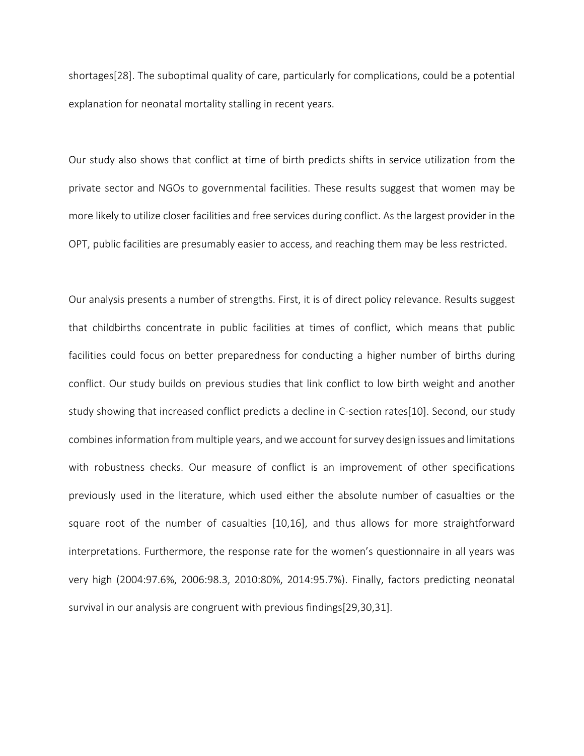shortages[28]. The suboptimal quality of care, particularly for complications, could be a potential explanation for neonatal mortality stalling in recent years.

Our study also shows that conflict at time of birth predicts shifts in service utilization from the private sector and NGOs to governmental facilities. These results suggest that women may be more likely to utilize closer facilities and free services during conflict. As the largest provider in the OPT, public facilities are presumably easier to access, and reaching them may be less restricted.

Our analysis presents a number of strengths. First, it is of direct policy relevance. Results suggest that childbirths concentrate in public facilities at times of conflict, which means that public facilities could focus on better preparedness for conducting a higher number of births during conflict. Our study builds on previous studies that link conflict to low birth weight and another study showing that increased conflict predicts a decline in C-section rates[10]. Second, our study combines information from multiple years, and we account for survey design issues and limitations with robustness checks. Our measure of conflict is an improvement of other specifications previously used in the literature, which used either the absolute number of casualties or the square root of the number of casualties [10,16], and thus allows for more straightforward interpretations. Furthermore, the response rate for the women's questionnaire in all years was very high (2004:97.6%, 2006:98.3, 2010:80%, 2014:95.7%). Finally, factors predicting neonatal survival in our analysis are congruent with previous findings[29,30,31].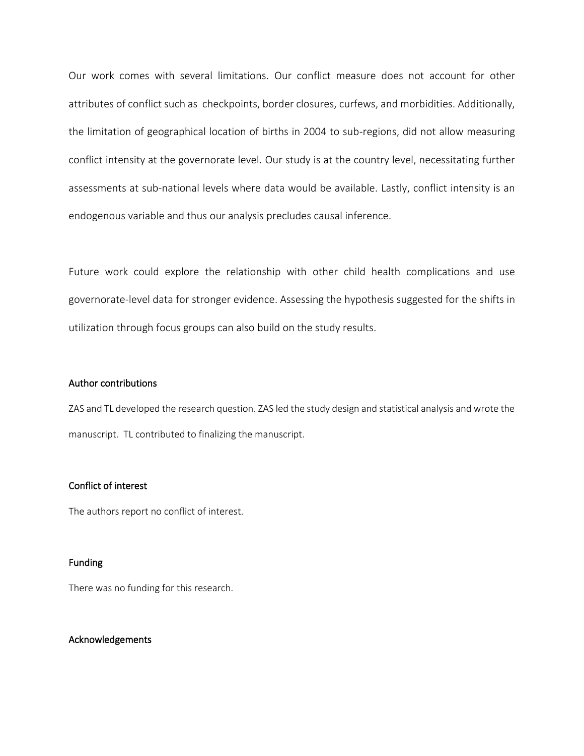Our work comes with several limitations. Our conflict measure does not account for other attributes of conflict such as checkpoints, border closures, curfews, and morbidities. Additionally, the limitation of geographical location of births in 2004 to sub-regions, did not allow measuring conflict intensity at the governorate level. Our study is at the country level, necessitating further assessments at sub-national levels where data would be available. Lastly, conflict intensity is an endogenous variable and thus our analysis precludes causal inference.

Future work could explore the relationship with other child health complications and use governorate-level data for stronger evidence. Assessing the hypothesis suggested for the shifts in utilization through focus groups can also build on the study results.

#### Author contributions

ZAS and TL developed the research question. ZAS led the study design and statistical analysis and wrote the manuscript. TL contributed to finalizing the manuscript.

#### Conflict of interest

The authors report no conflict of interest.

#### Funding

There was no funding for this research.

#### Acknowledgements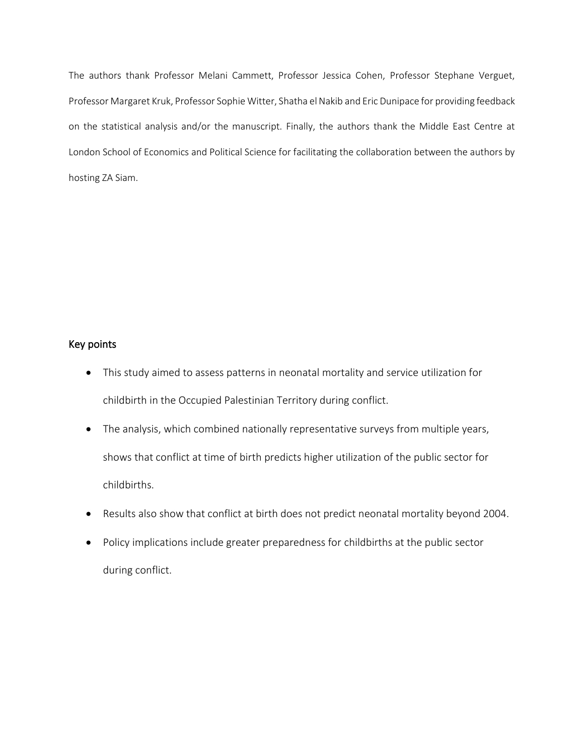The authors thank Professor Melani Cammett, Professor Jessica Cohen, Professor Stephane Verguet, Professor Margaret Kruk, Professor Sophie Witter, Shatha el Nakib and Eric Dunipace for providing feedback on the statistical analysis and/or the manuscript. Finally, the authors thank the Middle East Centre at London School of Economics and Political Science for facilitating the collaboration between the authors by hosting ZA Siam.

## Key points

- This study aimed to assess patterns in neonatal mortality and service utilization for childbirth in the Occupied Palestinian Territory during conflict.
- The analysis, which combined nationally representative surveys from multiple years, shows that conflict at time of birth predicts higher utilization of the public sector for childbirths.
- Results also show that conflict at birth does not predict neonatal mortality beyond 2004.
- Policy implications include greater preparedness for childbirths at the public sector during conflict.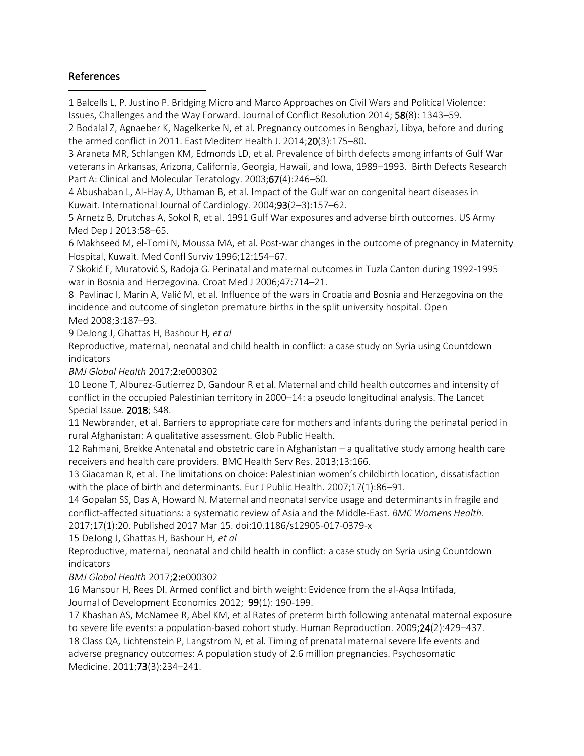## References

1 Balcells L, P. Justino P. Bridging Micro and Marco Approaches on Civil Wars and Political Violence: Issues, Challenges and the Way Forward. Journal of Conflict Resolution 2014; 58(8): 1343–59.

2 Bodalal Z, Agnaeber K, Nagelkerke N, et al. Pregnancy outcomes in Benghazi, Libya, before and during the armed conflict in 2011. East Mediterr Health J. 2014;20(3):175–80.

3 Araneta MR, Schlangen KM, Edmonds LD, et al. Prevalence of birth defects among infants of Gulf War veterans in Arkansas, Arizona, California, Georgia, Hawaii, and Iowa, 1989–1993. Birth Defects Research Part A: Clinical and Molecular Teratology. 2003;67(4):246-60.

4 Abushaban L, Al-Hay A, Uthaman B, et al. Impact of the Gulf war on congenital heart diseases in Kuwait. International Journal of Cardiology. 2004;93(2–3):157–62.

5 Arnetz B, Drutchas A, Sokol R, et al. 1991 Gulf War exposures and adverse birth outcomes. US Army Med Dep J 2013:58–65.

6 Makhseed M, el-Tomi N, Moussa MA, et al. Post-war changes in the outcome of pregnancy in Maternity Hospital, Kuwait. Med Confl Surviv 1996;12:154–67.

7 Skokić F, Muratović S, Radoja G. Perinatal and maternal outcomes in Tuzla Canton during 1992-1995 war in Bosnia and Herzegovina. Croat Med J 2006;47:714–21.

8 Pavlinac I, Marin A, Valić M, et al. Influence of the wars in Croatia and Bosnia and Herzegovina on the incidence and outcome of singleton premature births in the split university hospital. Open Med 2008;3:187–93.

9 DeJong J, Ghattas H, Bashour H*, et al*

Reproductive, maternal, neonatal and child health in conflict: a case study on Syria using Countdown indicators

*BMJ Global Health* 2017;2:e000302

10 Leone T, Alburez-Gutierrez D, Gandour R et al. Maternal and child health outcomes and intensity of conflict in the occupied Palestinian territory in 2000–14: a pseudo longitudinal analysis. The Lancet Special Issue. 2018; S48.

11 Newbrander, et al. Barriers to appropriate care for mothers and infants during the perinatal period in rural Afghanistan: A qualitative assessment. Glob Public Health.

12 Rahmani, Brekke Antenatal and obstetric care in Afghanistan – a qualitative study among health care receivers and health care providers. BMC Health Serv Res. 2013;13:166.

13 Giacaman R, et al. The limitations on choice: Palestinian women's childbirth location, dissatisfaction with the place of birth and determinants. Eur J Public Health. 2007;17(1):86–91.

14 Gopalan SS, Das A, Howard N. Maternal and neonatal service usage and determinants in fragile and conflict-affected situations: a systematic review of Asia and the Middle-East. *BMC Womens Health*.

2017;17(1):20. Published 2017 Mar 15. doi:10.1186/s12905-017-0379-x

15 DeJong J, Ghattas H, Bashour H*, et al*

Reproductive, maternal, neonatal and child health in conflict: a case study on Syria using Countdown indicators

*BMJ Global Health* 2017;2:e000302

16 Mansour H, Rees DI. Armed conflict and birth weight: Evidence from the al-Aqsa Intifada, Journal of Development Economics 2012; 99(1): 190-199.

17 Khashan AS, McNamee R, Abel KM, et al Rates of preterm birth following antenatal maternal exposure to severe life events: a population-based cohort study. Human Reproduction. 2009;24(2):429–437. 18 Class QA, Lichtenstein P, Langstrom N, et al. Timing of prenatal maternal severe life events and adverse pregnancy outcomes: A population study of 2.6 million pregnancies. Psychosomatic Medicine. 2011;73(3):234–241.